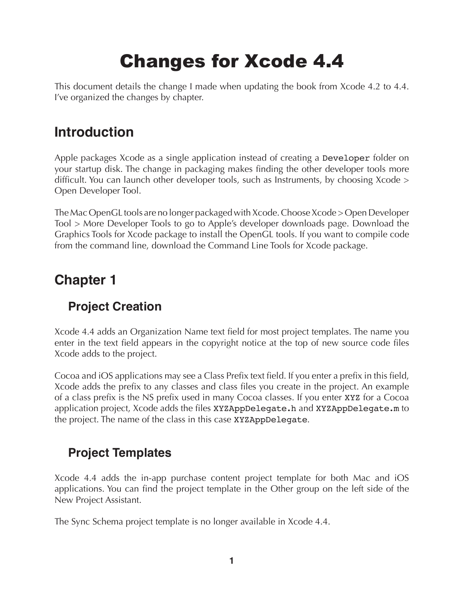# Changes for Xcode 4.4

This document details the change I made when updating the book from Xcode 4.2 to 4.4. I've organized the changes by chapter.

# **Introduction**

Apple packages Xcode as a single application instead of creating a Developer folder on your startup disk. The change in packaging makes finding the other developer tools more difficult. You can launch other developer tools, such as Instruments, by choosing Xcode > Open Developer Tool.

The Mac OpenGL tools are no longer packaged with Xcode. Choose Xcode > Open Developer Tool > More Developer Tools to go to Apple's developer downloads page. Download the Graphics Tools for Xcode package to install the OpenGL tools. If you want to compile code from the command line, download the Command Line Tools for Xcode package.

# **Chapter 1**

# **Project Creation**

Xcode 4.4 adds an Organization Name text field for most project templates. The name you enter in the text field appears in the copyright notice at the top of new source code files Xcode adds to the project.

Cocoa and iOS applications may see a Class Prefix text field. If you enter a prefix in this field, Xcode adds the prefix to any classes and class files you create in the project. An example of a class prefix is the NS prefix used in many Cocoa classes. If you enter XYZ for a Cocoa application project, Xcode adds the files XYZAppDelegate.h and XYZAppDelegate.m to the project. The name of the class in this case XYZAppDelegate.

# **Project Templates**

Xcode 4.4 adds the in-app purchase content project template for both Mac and iOS applications. You can find the project template in the Other group on the left side of the New Project Assistant.

The Sync Schema project template is no longer available in Xcode 4.4.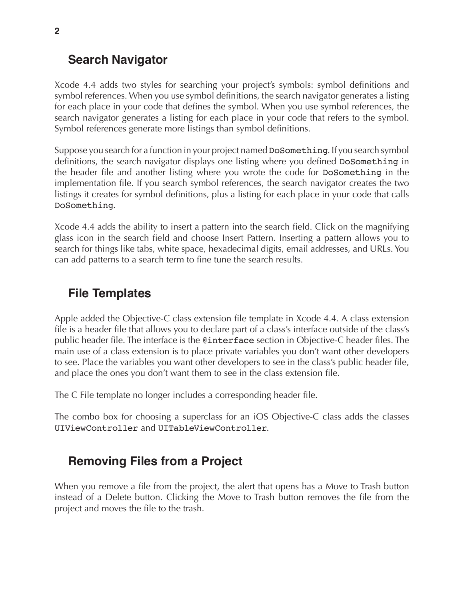#### **Search Navigator**

Xcode 4.4 adds two styles for searching your project's symbols: symbol definitions and symbol references. When you use symbol definitions, the search navigator generates a listing for each place in your code that defines the symbol. When you use symbol references, the search navigator generates a listing for each place in your code that refers to the symbol. Symbol references generate more listings than symbol definitions.

Suppose you search for a function in your project named DoSomething. If you search symbol definitions, the search navigator displays one listing where you defined DoSomething in the header file and another listing where you wrote the code for DoSomething in the implementation file. If you search symbol references, the search navigator creates the two listings it creates for symbol definitions, plus a listing for each place in your code that calls DoSomething.

Xcode 4.4 adds the ability to insert a pattern into the search field. Click on the magnifying glass icon in the search field and choose Insert Pattern. Inserting a pattern allows you to search for things like tabs, white space, hexadecimal digits, email addresses, and URLs. You can add patterns to a search term to fine tune the search results.

### **File Templates**

Apple added the Objective-C class extension file template in Xcode 4.4. A class extension file is a header file that allows you to declare part of a class's interface outside of the class's public header file. The interface is the @interface section in Objective-C header files. The main use of a class extension is to place private variables you don't want other developers to see. Place the variables you want other developers to see in the class's public header file, and place the ones you don't want them to see in the class extension file.

The C File template no longer includes a corresponding header file.

The combo box for choosing a superclass for an iOS Objective-C class adds the classes UIViewController and UITableViewController.

# **Removing Files from a Project**

When you remove a file from the project, the alert that opens has a Move to Trash button instead of a Delete button. Clicking the Move to Trash button removes the file from the project and moves the file to the trash.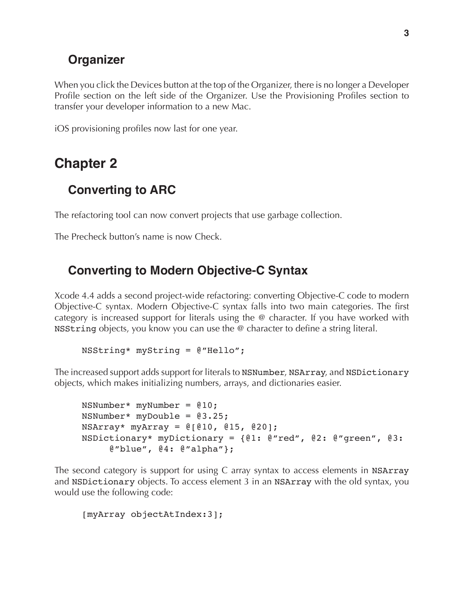### **Organizer**

When you click the Devices button at the top of the Organizer, there is no longer a Developer Profile section on the left side of the Organizer. Use the Provisioning Profiles section to transfer your developer information to a new Mac.

iOS provisioning profiles now last for one year.

# **Chapter 2**

# **Converting to ARC**

The refactoring tool can now convert projects that use garbage collection.

The Precheck button's name is now Check.

### **Converting to Modern Objective-C Syntax**

Xcode 4.4 adds a second project-wide refactoring: converting Objective-C code to modern Objective-C syntax. Modern Objective-C syntax falls into two main categories. The first category is increased support for literals using the @ character. If you have worked with NSString objects, you know you can use the @ character to define a string literal.

NSString\* myString = @"Hello";

The increased support adds support for literals to NSNumber, NSArray, and NSDictionary objects, which makes initializing numbers, arrays, and dictionaries easier.

```
NSNumber* myNumber = @10;
NSNumber* myDouble = @3.25;
NSArray* myArray = @[@10, @15, @20];
NSDictionary* myDictionary = {@1: @"red", @2: @"green", @3: 
     @"blue", @4: @"alpha"};
```
The second category is support for using C array syntax to access elements in NSArray and NSDictionary objects. To access element 3 in an NSArray with the old syntax, you would use the following code:

```
[myArray objectAtIndex:3];
```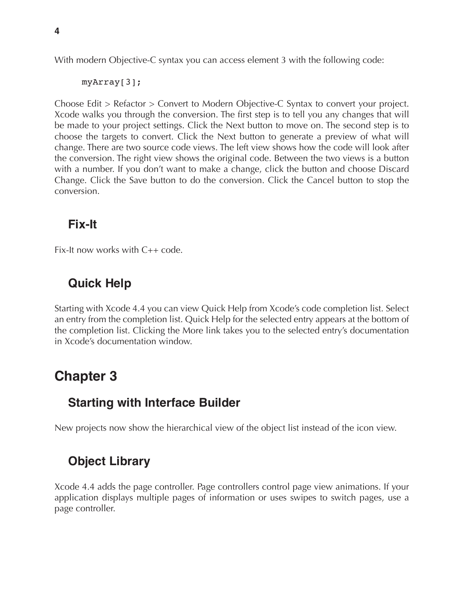With modern Objective-C syntax you can access element 3 with the following code:

```
myArray[3];
```
Choose Edit > Refactor > Convert to Modern Objective-C Syntax to convert your project. Xcode walks you through the conversion. The first step is to tell you any changes that will be made to your project settings. Click the Next button to move on. The second step is to choose the targets to convert. Click the Next button to generate a preview of what will change. There are two source code views. The left view shows how the code will look after the conversion. The right view shows the original code. Between the two views is a button with a number. If you don't want to make a change, click the button and choose Discard Change. Click the Save button to do the conversion. Click the Cancel button to stop the conversion.

# **Fix-It**

Fix-It now works with C++ code.

# **Quick Help**

Starting with Xcode 4.4 you can view Quick Help from Xcode's code completion list. Select an entry from the completion list. Quick Help for the selected entry appears at the bottom of the completion list. Clicking the More link takes you to the selected entry's documentation in Xcode's documentation window.

# **Chapter 3**

# **Starting with Interface Builder**

New projects now show the hierarchical view of the object list instead of the icon view.

# **Object Library**

Xcode 4.4 adds the page controller. Page controllers control page view animations. If your application displays multiple pages of information or uses swipes to switch pages, use a page controller.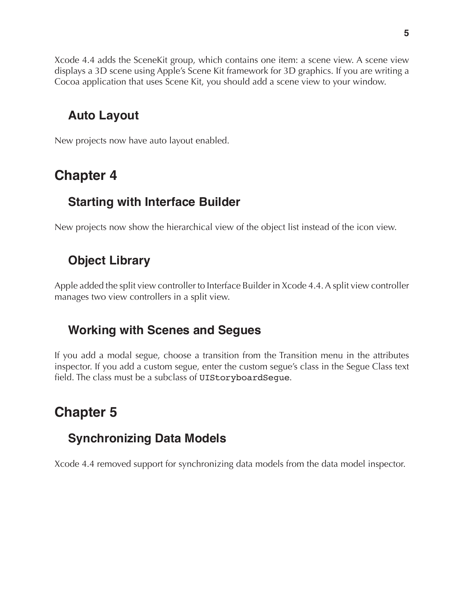Xcode 4.4 adds the SceneKit group, which contains one item: a scene view. A scene view displays a 3D scene using Apple's Scene Kit framework for 3D graphics. If you are writing a Cocoa application that uses Scene Kit, you should add a scene view to your window.

# **Auto Layout**

New projects now have auto layout enabled.

# **Chapter 4**

# **Starting with Interface Builder**

New projects now show the hierarchical view of the object list instead of the icon view.

# **Object Library**

Apple added the split view controller to Interface Builder in Xcode 4.4. A split view controller manages two view controllers in a split view.

# **Working with Scenes and Segues**

If you add a modal segue, choose a transition from the Transition menu in the attributes inspector. If you add a custom segue, enter the custom segue's class in the Segue Class text field. The class must be a subclass of UIStoryboardSegue.

# **Chapter 5**

# **Synchronizing Data Models**

Xcode 4.4 removed support for synchronizing data models from the data model inspector.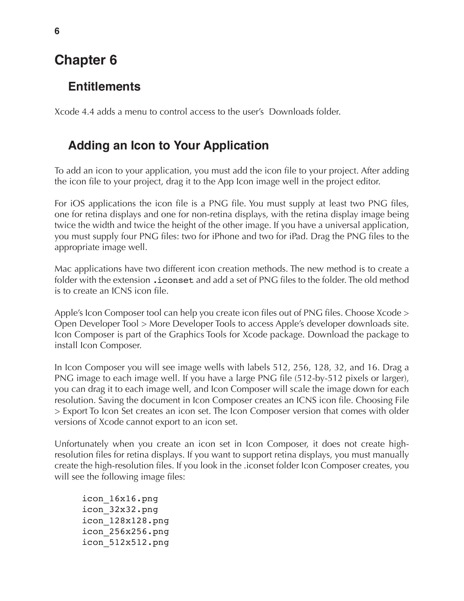# **Chapter 6**

#### **Entitlements**

Xcode 4.4 adds a menu to control access to the user's Downloads folder.

### **Adding an Icon to Your Application**

To add an icon to your application, you must add the icon file to your project. After adding the icon file to your project, drag it to the App Icon image well in the project editor.

For iOS applications the icon file is a PNG file. You must supply at least two PNG files, one for retina displays and one for non-retina displays, with the retina display image being twice the width and twice the height of the other image. If you have a universal application, you must supply four PNG files: two for iPhone and two for iPad. Drag the PNG files to the appropriate image well.

Mac applications have two different icon creation methods. The new method is to create a folder with the extension .iconset and add a set of PNG files to the folder. The old method is to create an ICNS icon file.

Apple's Icon Composer tool can help you create icon files out of PNG files. Choose Xcode > Open Developer Tool > More Developer Tools to access Apple's developer downloads site. Icon Composer is part of the Graphics Tools for Xcode package. Download the package to install Icon Composer.

In Icon Composer you will see image wells with labels 512, 256, 128, 32, and 16. Drag a PNG image to each image well. If you have a large PNG file (512-by-512 pixels or larger), you can drag it to each image well, and Icon Composer will scale the image down for each resolution. Saving the document in Icon Composer creates an ICNS icon file. Choosing File > Export To Icon Set creates an icon set. The Icon Composer version that comes with older versions of Xcode cannot export to an icon set.

Unfortunately when you create an icon set in Icon Composer, it does not create highresolution files for retina displays. If you want to support retina displays, you must manually create the high-resolution files. If you look in the .iconset folder Icon Composer creates, you will see the following image files:

icon\_16x16.png icon\_32x32.png icon\_128x128.png icon\_256x256.png icon\_512x512.png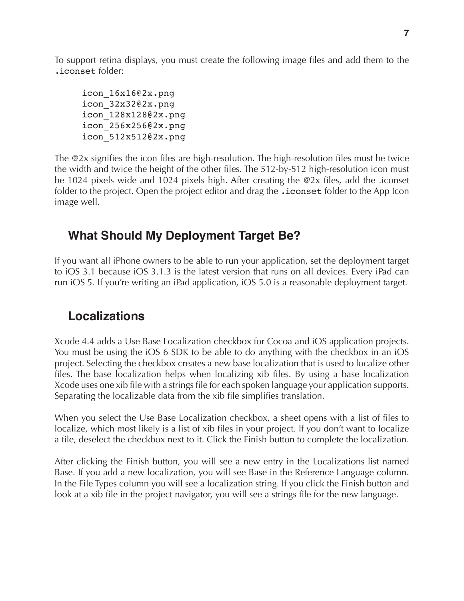To support retina displays, you must create the following image files and add them to the .iconset folder:

icon\_16x16@2x.png icon\_32x32@2x.png icon\_128x128@2x.png icon\_256x256@2x.png icon\_512x512@2x.png

The @2x signifies the icon files are high-resolution. The high-resolution files must be twice the width and twice the height of the other files. The 512-by-512 high-resolution icon must be 1024 pixels wide and 1024 pixels high. After creating the @2x files, add the .iconset folder to the project. Open the project editor and drag the .iconset folder to the App Icon image well.

# **What Should My Deployment Target Be?**

If you want all iPhone owners to be able to run your application, set the deployment target to iOS 3.1 because iOS 3.1.3 is the latest version that runs on all devices. Every iPad can run iOS 5. If you're writing an iPad application, iOS 5.0 is a reasonable deployment target.

# **Localizations**

Xcode 4.4 adds a Use Base Localization checkbox for Cocoa and iOS application projects. You must be using the iOS 6 SDK to be able to do anything with the checkbox in an iOS project. Selecting the checkbox creates a new base localization that is used to localize other files. The base localization helps when localizing xib files. By using a base localization Xcode uses one xib file with a strings file for each spoken language your application supports. Separating the localizable data from the xib file simplifies translation.

When you select the Use Base Localization checkbox, a sheet opens with a list of files to localize, which most likely is a list of xib files in your project. If you don't want to localize a file, deselect the checkbox next to it. Click the Finish button to complete the localization.

After clicking the Finish button, you will see a new entry in the Localizations list named Base. If you add a new localization, you will see Base in the Reference Language column. In the File Types column you will see a localization string. If you click the Finish button and look at a xib file in the project navigator, you will see a strings file for the new language.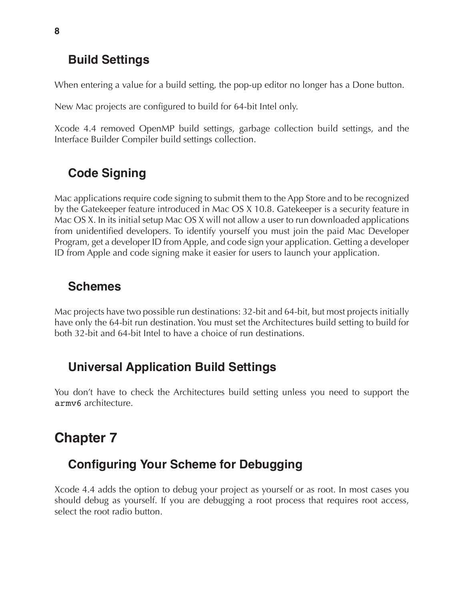# **Build Settings**

When entering a value for a build setting, the pop-up editor no longer has a Done button.

New Mac projects are configured to build for 64-bit Intel only.

Xcode 4.4 removed OpenMP build settings, garbage collection build settings, and the Interface Builder Compiler build settings collection.

# **Code Signing**

Mac applications require code signing to submit them to the App Store and to be recognized by the Gatekeeper feature introduced in Mac OS X 10.8. Gatekeeper is a security feature in Mac OS X. In its initial setup Mac OS X will not allow a user to run downloaded applications from unidentified developers. To identify yourself you must join the paid Mac Developer Program, get a developer ID from Apple, and code sign your application. Getting a developer ID from Apple and code signing make it easier for users to launch your application.

# **Schemes**

Mac projects have two possible run destinations: 32-bit and 64-bit, but most projects initially have only the 64-bit run destination. You must set the Architectures build setting to build for both 32-bit and 64-bit Intel to have a choice of run destinations.

# **Universal Application Build Settings**

You don't have to check the Architectures build setting unless you need to support the armv6 architecture.

# **Chapter 7**

# **Configuring Your Scheme for Debugging**

Xcode 4.4 adds the option to debug your project as yourself or as root. In most cases you should debug as yourself. If you are debugging a root process that requires root access, select the root radio button.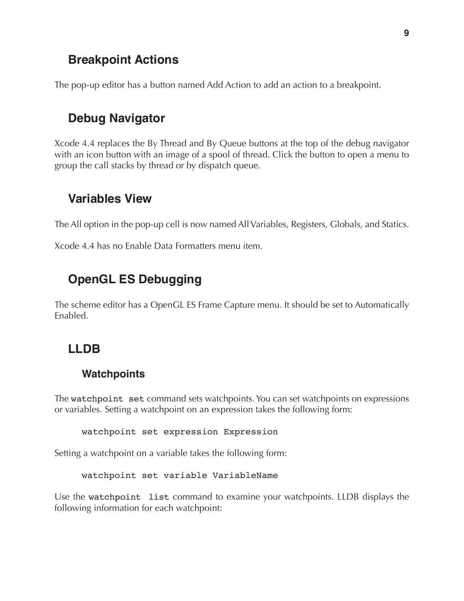#### **Breakpoint Actions**

The pop-up editor has a button named Add Action to add an action to a breakpoint.

### **Debug Navigator**

Xcode 4.4 replaces the By Thread and By Queue buttons at the top of the debug navigator with an icon button with an image of a spool of thread. Click the button to open a menu to group the call stacks by thread or by dispatch queue.

#### **Variables View**

The All option in the pop-up cell is now named All Variables, Registers, Globals, and Statics.

Xcode 4.4 has no Enable Data Formatters menu item.

# **OpenGL ES Debugging**

The scheme editor has a OpenGL ES Frame Capture menu. It should be set to Automatically Enabled.

### **LLDB**

#### **Watchpoints**

The watchpoint set command sets watchpoints. You can set watchpoints on expressions or variables. Setting a watchpoint on an expression takes the following form:

watchpoint set expression Expression

Setting a watchpoint on a variable takes the following form:

watchpoint set variable VariableName

Use the watchpoint list command to examine your watchpoints. LLDB displays the following information for each watchpoint: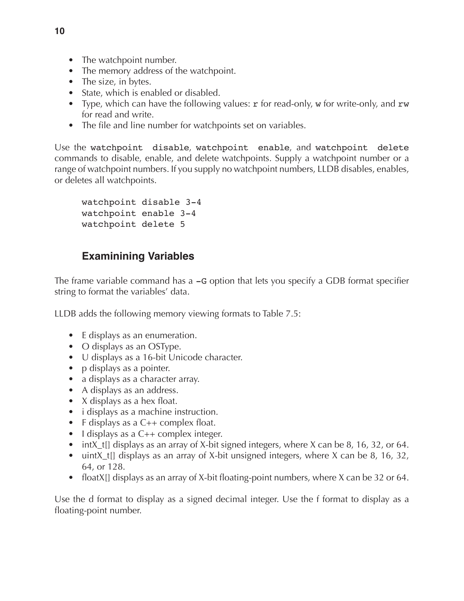- The watchpoint number.
- The memory address of the watchpoint.
- The size, in bytes.
- State, which is enabled or disabled.
- Type, which can have the following values:  $r$  for read-only, w for write-only, and  $rw$ for read and write.
- The file and line number for watchpoints set on variables.

Use the watchpoint disable, watchpoint enable, and watchpoint delete commands to disable, enable, and delete watchpoints. Supply a watchpoint number or a range of watchpoint numbers. If you supply no watchpoint numbers, LLDB disables, enables, or deletes all watchpoints.

```
watchpoint disable 3-4
watchpoint enable 3-4
watchpoint delete 5
```
#### **Examinining Variables**

The frame variable command has a  $-G$  option that lets you specify a GDB format specifier string to format the variables' data.

LLDB adds the following memory viewing formats to Table 7.5:

- E displays as an enumeration.
- O displays as an OSType.
- U displays as a 16-bit Unicode character.
- p displays as a pointer.
- a displays as a character array.
- A displays as an address.
- X displays as a hex float.
- i displays as a machine instruction.
- F displays as a C++ complex float.
- I displays as a C++ complex integer.
- intX\_t[] displays as an array of X-bit signed integers, where X can be 8, 16, 32, or 64.
- uintX<sub>\_t</sub>[] displays as an array of X-bit unsigned integers, where X can be 8, 16, 32, 64, or 128.
- floatX[] displays as an array of X-bit floating-point numbers, where X can be 32 or 64.

Use the d format to display as a signed decimal integer. Use the f format to display as a floating-point number.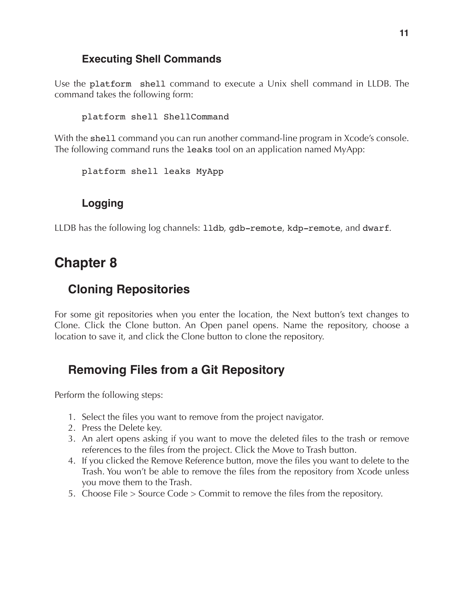#### **Executing Shell Commands**

Use the platform shell command to execute a Unix shell command in LLDB. The command takes the following form:

platform shell ShellCommand

With the shell command you can run another command-line program in Xcode's console. The following command runs the leaks tool on an application named MyApp:

platform shell leaks MyApp

#### **Logging**

LLDB has the following log channels: lldb, gdb-remote, kdp-remote, and dwarf.

# **Chapter 8**

### **Cloning Repositories**

For some git repositories when you enter the location, the Next button's text changes to Clone. Click the Clone button. An Open panel opens. Name the repository, choose a location to save it, and click the Clone button to clone the repository.

# **Removing Files from a Git Repository**

Perform the following steps:

- 1. Select the files you want to remove from the project navigator.
- 2. Press the Delete key.
- 3. An alert opens asking if you want to move the deleted files to the trash or remove references to the files from the project. Click the Move to Trash button.
- 4. If you clicked the Remove Reference button, move the files you want to delete to the Trash. You won't be able to remove the files from the repository from Xcode unless you move them to the Trash.
- 5. Choose File > Source Code > Commit to remove the files from the repository.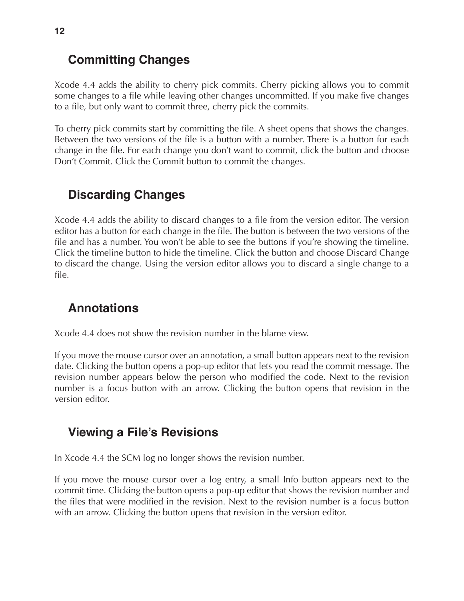### **Committing Changes**

Xcode 4.4 adds the ability to cherry pick commits. Cherry picking allows you to commit some changes to a file while leaving other changes uncommitted. If you make five changes to a file, but only want to commit three, cherry pick the commits.

To cherry pick commits start by committing the file. A sheet opens that shows the changes. Between the two versions of the file is a button with a number. There is a button for each change in the file. For each change you don't want to commit, click the button and choose Don't Commit. Click the Commit button to commit the changes.

# **Discarding Changes**

Xcode 4.4 adds the ability to discard changes to a file from the version editor. The version editor has a button for each change in the file. The button is between the two versions of the file and has a number. You won't be able to see the buttons if you're showing the timeline. Click the timeline button to hide the timeline. Click the button and choose Discard Change to discard the change. Using the version editor allows you to discard a single change to a file.

# **Annotations**

Xcode 4.4 does not show the revision number in the blame view.

If you move the mouse cursor over an annotation, a small button appears next to the revision date. Clicking the button opens a pop-up editor that lets you read the commit message. The revision number appears below the person who modified the code. Next to the revision number is a focus button with an arrow. Clicking the button opens that revision in the version editor.

# **Viewing a File's Revisions**

In Xcode 4.4 the SCM log no longer shows the revision number.

If you move the mouse cursor over a log entry, a small Info button appears next to the commit time. Clicking the button opens a pop-up editor that shows the revision number and the files that were modified in the revision. Next to the revision number is a focus button with an arrow. Clicking the button opens that revision in the version editor.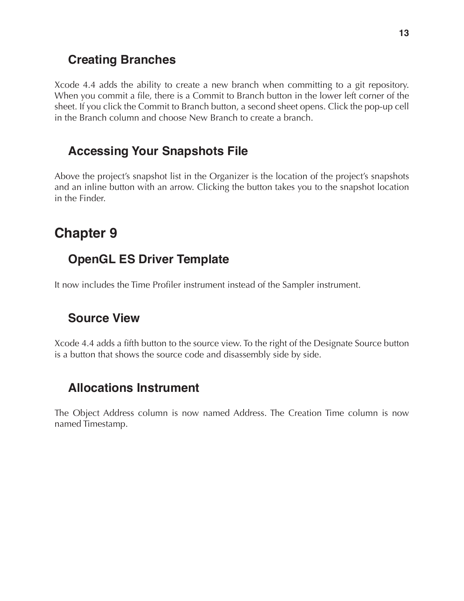### **Creating Branches**

Xcode 4.4 adds the ability to create a new branch when committing to a git repository. When you commit a file, there is a Commit to Branch button in the lower left corner of the sheet. If you click the Commit to Branch button, a second sheet opens. Click the pop-up cell in the Branch column and choose New Branch to create a branch.

# **Accessing Your Snapshots File**

Above the project's snapshot list in the Organizer is the location of the project's snapshots and an inline button with an arrow. Clicking the button takes you to the snapshot location in the Finder.

# **Chapter 9**

# **OpenGL ES Driver Template**

It now includes the Time Profiler instrument instead of the Sampler instrument.

# **Source View**

Xcode 4.4 adds a fifth button to the source view. To the right of the Designate Source button is a button that shows the source code and disassembly side by side.

# **Allocations Instrument**

The Object Address column is now named Address. The Creation Time column is now named Timestamp.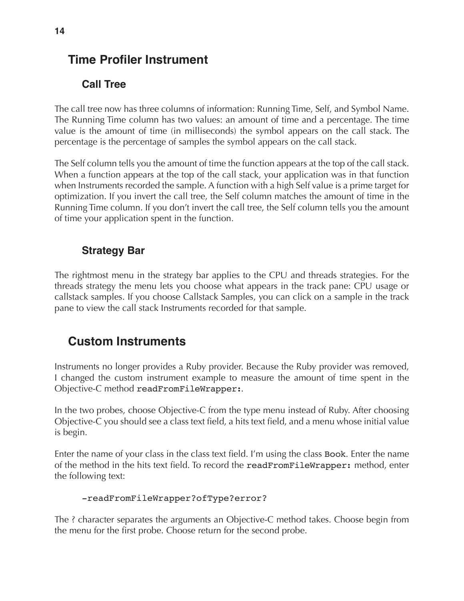# **Time Profiler Instrument**

#### **Call Tree**

The call tree now has three columns of information: Running Time, Self, and Symbol Name. The Running Time column has two values: an amount of time and a percentage. The time value is the amount of time (in milliseconds) the symbol appears on the call stack. The percentage is the percentage of samples the symbol appears on the call stack.

The Self column tells you the amount of time the function appears at the top of the call stack. When a function appears at the top of the call stack, your application was in that function when Instruments recorded the sample. A function with a high Self value is a prime target for optimization. If you invert the call tree, the Self column matches the amount of time in the Running Time column. If you don't invert the call tree, the Self column tells you the amount of time your application spent in the function.

#### **Strategy Bar**

The rightmost menu in the strategy bar applies to the CPU and threads strategies. For the threads strategy the menu lets you choose what appears in the track pane: CPU usage or callstack samples. If you choose Callstack Samples, you can click on a sample in the track pane to view the call stack Instruments recorded for that sample.

# **Custom Instruments**

Instruments no longer provides a Ruby provider. Because the Ruby provider was removed, I changed the custom instrument example to measure the amount of time spent in the Objective-C method readFromFileWrapper:.

In the two probes, choose Objective-C from the type menu instead of Ruby. After choosing Objective-C you should see a class text field, a hits text field, and a menu whose initial value is begin.

Enter the name of your class in the class text field. I'm using the class Book. Enter the name of the method in the hits text field. To record the readFromFileWrapper: method, enter the following text:

#### -readFromFileWrapper?ofType?error?

The ? character separates the arguments an Objective-C method takes. Choose begin from the menu for the first probe. Choose return for the second probe.